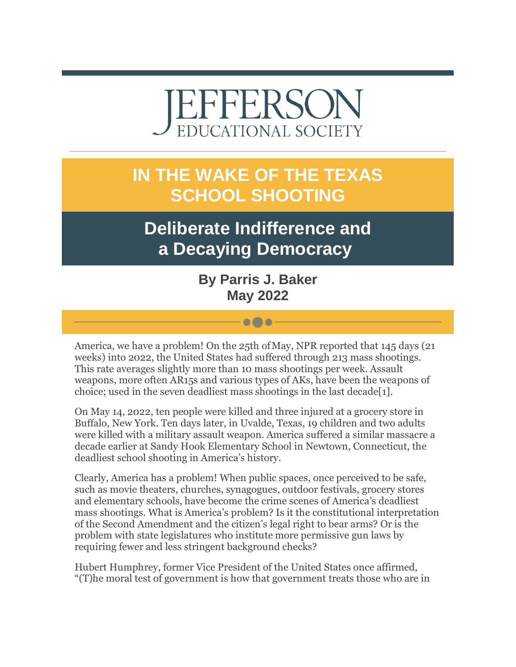# EFFERSO **EDUCATIONAL SOCIETY**

## **IN THE WAKE OF THE TEXAS SCHOOL SHOOTING**

## **Deliberate Indifference and a Decaying Democracy**

**By Parris J. Baker May 2022**

 $\bullet\bullet\bullet$ 

America, we have a problem! On the 25th of May, NPR reported that 145 days (21) weeks) into 2022, the United States had suffered through 213 mass shootings. This rate averages slightly more than 10 mass shootings per week. Assault weapons, more often AR15s and various types of AKs, have been the weapons of choice; used in the seven deadliest mass shootings in the last decade[1].

On May 14, 2022, ten people were killed and three injured at a grocery store in Buffalo, New York. Ten days later, in Uvalde, Texas, 19 children and two adults were killed with a military assault weapon. America suffered a similar massacre a decade earlier at Sandy Hook Elementary School in Newtown, Connecticut, the deadliest school shooting in America's history.

Clearly, America has a problem! When public spaces, once perceived to be safe, such as movie theaters, churches, synagogues, outdoor festivals, grocery stores and elementary schools, have become the crime scenes of America's deadliest mass shootings. What is America's problem? Is it the constitutional interpretation of the Second Amendment and the citizen's legal right to bear arms? Or is the problem with state legislatures who institute more permissive gun laws by requiring fewer and less stringent background checks?

Hubert Humphrey, former Vice President of the United States once affirmed, "(T)he moral test of government is how that government treats those who are in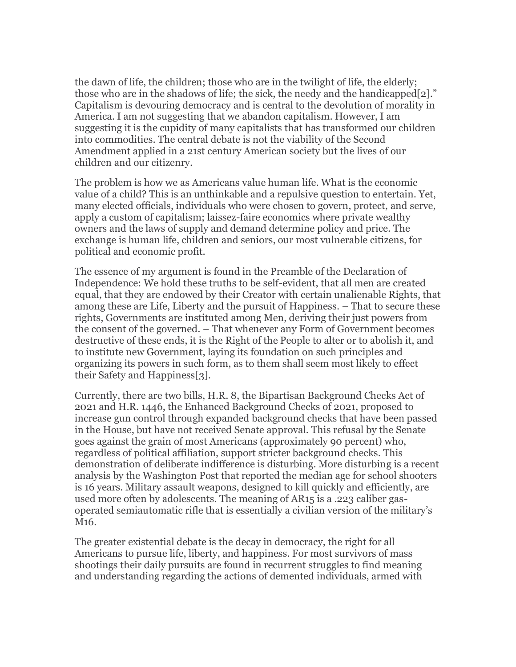the dawn of life, the children; those who are in the twilight of life, the elderly; those who are in the shadows of life; the sick, the needy and the handicapped[2]." Capitalism is devouring democracy and is central to the devolution of morality in America. I am not suggesting that we abandon capitalism. However, I am suggesting it is the cupidity of many capitalists that has transformed our children into commodities. The central debate is not the viability of the Second Amendment applied in a 21st century American society but the lives of our children and our citizenry.

The problem is how we as Americans value human life. What is the economic value of a child? This is an unthinkable and a repulsive question to entertain. Yet, many elected officials, individuals who were chosen to govern, protect, and serve, apply a custom of capitalism; laissez-faire economics where private wealthy owners and the laws of supply and demand determine policy and price. The exchange is human life, children and seniors, our most vulnerable citizens, for political and economic profit.

The essence of my argument is found in the Preamble of the Declaration of Independence: We hold these truths to be self-evident, that all men are created equal, that they are endowed by their Creator with certain unalienable Rights, that among these are Life, Liberty and the pursuit of Happiness. – That to secure these rights, Governments are instituted among Men, deriving their just powers from the consent of the governed. – That whenever any Form of Government becomes destructive of these ends, it is the Right of the People to alter or to abolish it, and to institute new Government, laying its foundation on such principles and organizing its powers in such form, as to them shall seem most likely to effect their Safety and Happiness[3].

Currently, there are two bills, H.R. 8, the Bipartisan Background Checks Act of 2021 and H.R. 1446, the Enhanced Background Checks of 2021, proposed to increase gun control through expanded background checks that have been passed in the House, but have not received Senate approval. This refusal by the Senate goes against the grain of most Americans (approximately 90 percent) who, regardless of political affiliation, support stricter background checks. This demonstration of deliberate indifference is disturbing. More disturbing is a recent analysis by the Washington Post that reported the median age for school shooters is 16 years. Military assault weapons, designed to kill quickly and efficiently, are used more often by adolescents. The meaning of AR15 is a .223 caliber gasoperated semiautomatic rifle that is essentially a civilian version of the military's M16.

The greater existential debate is the decay in democracy, the right for all Americans to pursue life, liberty, and happiness. For most survivors of mass shootings their daily pursuits are found in recurrent struggles to find meaning and understanding regarding the actions of demented individuals, armed with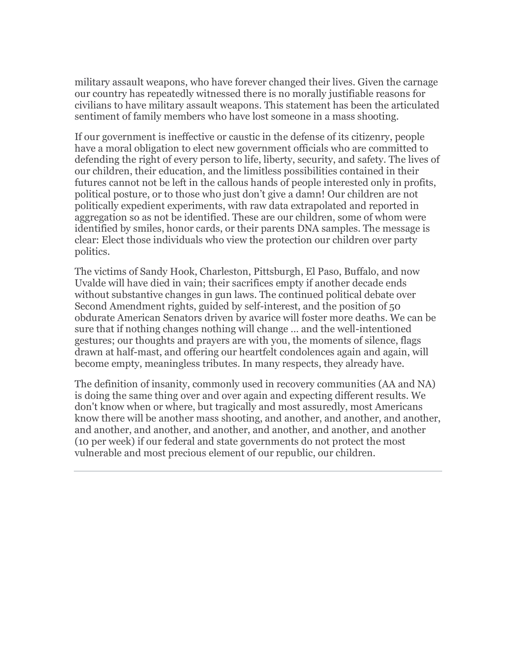military assault weapons, who have forever changed their lives. Given the carnage our country has repeatedly witnessed there is no morally justifiable reasons for civilians to have military assault weapons. This statement has been the articulated sentiment of family members who have lost someone in a mass shooting.

If our government is ineffective or caustic in the defense of its citizenry, people have a moral obligation to elect new government officials who are committed to defending the right of every person to life, liberty, security, and safety. The lives of our children, their education, and the limitless possibilities contained in their futures cannot not be left in the callous hands of people interested only in profits, political posture, or to those who just don't give a damn! Our children are not politically expedient experiments, with raw data extrapolated and reported in aggregation so as not be identified. These are our children, some of whom were identified by smiles, honor cards, or their parents DNA samples. The message is clear: Elect those individuals who view the protection our children over party politics.

The victims of Sandy Hook, Charleston, Pittsburgh, El Paso, Buffalo, and now Uvalde will have died in vain; their sacrifices empty if another decade ends without substantive changes in gun laws. The continued political debate over Second Amendment rights, guided by self-interest, and the position of 50 obdurate American Senators driven by avarice will foster more deaths. We can be sure that if nothing changes nothing will change … and the well-intentioned gestures; our thoughts and prayers are with you, the moments of silence, flags drawn at half-mast, and offering our heartfelt condolences again and again, will become empty, meaningless tributes. In many respects, they already have.

The definition of insanity, commonly used in recovery communities (AA and NA) is doing the same thing over and over again and expecting different results. We don't know when or where, but tragically and most assuredly, most Americans know there will be another mass shooting, and another, and another, and another, and another, and another, and another, and another, and another, and another (10 per week) if our federal and state governments do not protect the most vulnerable and most precious element of our republic, our children.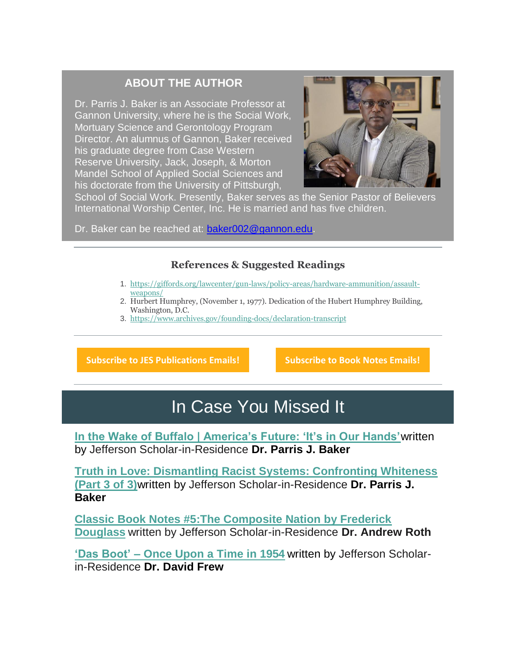#### **ABOUT THE AUTHOR**

Dr. Parris J. Baker is an Associate Professor at Gannon University, where he is the Social Work, Mortuary Science and Gerontology Program Director. An alumnus of Gannon, Baker received his graduate degree from Case Western Reserve University, Jack, Joseph, & Morton Mandel School of Applied Social Sciences and his doctorate from the University of Pittsburgh,



School of Social Work. Presently, Baker serves as the Senior Pastor of Believers International Worship Center, Inc. He is married and has five children.

Dr. Baker can be reached at: [baker002@gannon.edu.](mailto:baker002@gannon.edu)

#### **References & Suggested Readings**

- 1. [https://giffords.org/lawcenter/gun-laws/policy-areas/hardware-ammunition/assault](https://r20.rs6.net/tn.jsp?f=0010z8jxBnaDRStp9Qo4CngwMHmukad7y4eWWznyWz2fNjqvPI8VKAN3my-AKYvIBb7ItlSJpK4zKKQJDIazWfukT78id0BbOtNEN2nuV2EwnyPZc_ODiMg0WQzwcQ8f9Te9HHpwA5eIAjjNEMrP_-eXhed_0uxOizABGzn4w_DAfsCoRgmSIQ8IeDWxTMGuQCJ4Z1tKt1tOV7JQiJKVpZT6AYEYYEmiFjHsDKDlKoBdBenhMxoXnJUiA==&c=W84tooSEjk6UJmfmT8inMpgGGrZRpgkK5j8FPM-GFJUrKxrnoIT3HQ==&ch=SkhQ4lb0Bu5z0eYaYRO189HJSl3xKPFNM8hNWRxs01lvZEdMQrMk5w==)[weapons/](https://r20.rs6.net/tn.jsp?f=0010z8jxBnaDRStp9Qo4CngwMHmukad7y4eWWznyWz2fNjqvPI8VKAN3my-AKYvIBb7ItlSJpK4zKKQJDIazWfukT78id0BbOtNEN2nuV2EwnyPZc_ODiMg0WQzwcQ8f9Te9HHpwA5eIAjjNEMrP_-eXhed_0uxOizABGzn4w_DAfsCoRgmSIQ8IeDWxTMGuQCJ4Z1tKt1tOV7JQiJKVpZT6AYEYYEmiFjHsDKDlKoBdBenhMxoXnJUiA==&c=W84tooSEjk6UJmfmT8inMpgGGrZRpgkK5j8FPM-GFJUrKxrnoIT3HQ==&ch=SkhQ4lb0Bu5z0eYaYRO189HJSl3xKPFNM8hNWRxs01lvZEdMQrMk5w==)
- 2. Hurbert Humphrey, (November 1, 1977). Dedication of the Hubert Humphrey Building, Washington, D.C.
- 3. [https://www.archives.gov/founding-docs/declaration-transcript](https://r20.rs6.net/tn.jsp?f=0010z8jxBnaDRStp9Qo4CngwMHmukad7y4eWWznyWz2fNjqvPI8VKAN3j2DJPFjtOk28nt4nbKn_EZ13PKR-eZR4B2aJY8qzSNDtrhWgSjUPCZVxYW1QbyJZCYg9XMi-ogZae-4598k0WPGUBgrf6qrB_7GBX9APRyCR6_gUGGM2eAVCT7OCF1y9eRDx6qWr-pedHylhseTbp0=&c=W84tooSEjk6UJmfmT8inMpgGGrZRpgkK5j8FPM-GFJUrKxrnoIT3HQ==&ch=SkhQ4lb0Bu5z0eYaYRO189HJSl3xKPFNM8hNWRxs01lvZEdMQrMk5w==)

**[Subscribe to JES Publications Emails!](https://r20.rs6.net/tn.jsp?f=0010z8jxBnaDRStp9Qo4CngwMHmukad7y4eWWznyWz2fNjqvPI8VKAN3my-AKYvIBb7fzsPqWBkETzN6UrLuMBP_dUHHJX_j_aeRTc3owJNm1bVfMGdd4ZVkEVY1RCorMI-Vc-nqszO51fk0MuN3Caagg46MeTlapEKRSB825rILPe2TlVrb1oFyoM_0PAENF3tYvs8T4KOq2jq-tyYBxuAxbb-qTrJxcq7qtAOXQnw_J8Z5S6OMcq3pTMrQMIB8XeVnbB9Q4ANbxpR1G88-vch6YxmvQTVazxpuUzK-83EXSQ13iWFXohp2Td3anRfaoEzx7nvx1H67WQpaf9Dz-qomF86JETESZlypnNIJzJmnxQ=&c=W84tooSEjk6UJmfmT8inMpgGGrZRpgkK5j8FPM-GFJUrKxrnoIT3HQ==&ch=SkhQ4lb0Bu5z0eYaYRO189HJSl3xKPFNM8hNWRxs01lvZEdMQrMk5w==) [Subscribe to Book Notes Emails!](https://r20.rs6.net/tn.jsp?f=0010z8jxBnaDRStp9Qo4CngwMHmukad7y4eWWznyWz2fNjqvPI8VKAN3my-AKYvIBb7ry3xHkwx92Fp_rOkbxCqKGnRisMiEzgqgHu8Z7t6H-JYBCXnjI-28otIliZoWDJ4g-JP9BMW64iFOJfgRqsWygHYdpFQ3a-00CnsQSNwy8eI932DZBRR6KbaGWzNP0vBB-ylyljfjf-vx5HxrpPsYoyeNl77aCszGYcdnzixGxm-Ogr1gnfSFUT6gaLWPWNg6IKP7bZp5Dx1Hs9C_ET8BLoUn3ThhbdqvJAlCN_gVE1IdTZ9tpsMQZZPsLztVXvhMyfj8eIb1yXGHbJ77Qw09hGglB3tW6vqjncYtrIDVjY=&c=W84tooSEjk6UJmfmT8inMpgGGrZRpgkK5j8FPM-GFJUrKxrnoIT3HQ==&ch=SkhQ4lb0Bu5z0eYaYRO189HJSl3xKPFNM8hNWRxs01lvZEdMQrMk5w==)**

### In Case You Missed It

**[In the Wake of Buffalo | America's Future: 'It's in Our Hands'](https://r20.rs6.net/tn.jsp?f=0010z8jxBnaDRStp9Qo4CngwMHmukad7y4eWWznyWz2fNjqvPI8VKAN3gFFns0W0tdkOPjRJyJjbpbzMUpN6VZfkB4AxYFWi5bbkFLHiDt7ljEm6ZoLL4BhHTUXXVrwKksRZZI5hO0Wkvj-4G_zOrudJw==&c=W84tooSEjk6UJmfmT8inMpgGGrZRpgkK5j8FPM-GFJUrKxrnoIT3HQ==&ch=SkhQ4lb0Bu5z0eYaYRO189HJSl3xKPFNM8hNWRxs01lvZEdMQrMk5w==)**written by Jefferson Scholar-in-Residence **Dr. Parris J. Baker**

**[Truth in Love: Dismantling Racist Systems: Confronting Whiteness](https://r20.rs6.net/tn.jsp?f=0010z8jxBnaDRStp9Qo4CngwMHmukad7y4eWWznyWz2fNjqvPI8VKAN3my-AKYvIBb7oxkHjMsaxk0SqPSTy2fPvYUT25VqpM-AoJ2dyHXONw7veyJtPJG9jXkvgUWMMUGirbj8dvyiW_Phvrtgy4wrlg==&c=W84tooSEjk6UJmfmT8inMpgGGrZRpgkK5j8FPM-GFJUrKxrnoIT3HQ==&ch=SkhQ4lb0Bu5z0eYaYRO189HJSl3xKPFNM8hNWRxs01lvZEdMQrMk5w==)  [\(Part 3 of 3\)](https://r20.rs6.net/tn.jsp?f=0010z8jxBnaDRStp9Qo4CngwMHmukad7y4eWWznyWz2fNjqvPI8VKAN3my-AKYvIBb7oxkHjMsaxk0SqPSTy2fPvYUT25VqpM-AoJ2dyHXONw7veyJtPJG9jXkvgUWMMUGirbj8dvyiW_Phvrtgy4wrlg==&c=W84tooSEjk6UJmfmT8inMpgGGrZRpgkK5j8FPM-GFJUrKxrnoIT3HQ==&ch=SkhQ4lb0Bu5z0eYaYRO189HJSl3xKPFNM8hNWRxs01lvZEdMQrMk5w==)**written by Jefferson Scholar-in-Residence **Dr. Parris J. Baker**

**[Classic Book Notes #5:The Composite Nation by Frederick](https://r20.rs6.net/tn.jsp?f=0010z8jxBnaDRStp9Qo4CngwMHmukad7y4eWWznyWz2fNjqvPI8VKAN3my-AKYvIBb77UL86s4FpI9izWwh1wtSf8LjVC3HWISZFI8wjQAODfaotbPUn0CcIJkSmWjTb-c4-h1nZ5xfnBS1I_IMBB2fCg==&c=W84tooSEjk6UJmfmT8inMpgGGrZRpgkK5j8FPM-GFJUrKxrnoIT3HQ==&ch=SkhQ4lb0Bu5z0eYaYRO189HJSl3xKPFNM8hNWRxs01lvZEdMQrMk5w==)  [Douglass](https://r20.rs6.net/tn.jsp?f=0010z8jxBnaDRStp9Qo4CngwMHmukad7y4eWWznyWz2fNjqvPI8VKAN3my-AKYvIBb77UL86s4FpI9izWwh1wtSf8LjVC3HWISZFI8wjQAODfaotbPUn0CcIJkSmWjTb-c4-h1nZ5xfnBS1I_IMBB2fCg==&c=W84tooSEjk6UJmfmT8inMpgGGrZRpgkK5j8FPM-GFJUrKxrnoIT3HQ==&ch=SkhQ4lb0Bu5z0eYaYRO189HJSl3xKPFNM8hNWRxs01lvZEdMQrMk5w==)** written by Jefferson Scholar-in-Residence **Dr. Andrew Roth**

**'Das Boot' – [Once Upon a Time in 1954](https://r20.rs6.net/tn.jsp?f=0010z8jxBnaDRStp9Qo4CngwMHmukad7y4eWWznyWz2fNjqvPI8VKAN3my-AKYvIBb7js_pD7fskhBzPfO2LHRqVbb0FHnXRI0YH1MM6UZUokRziGk_qUQwvGFDlE1thoUpoWag4f2xd-RHzKygDADv7g==&c=W84tooSEjk6UJmfmT8inMpgGGrZRpgkK5j8FPM-GFJUrKxrnoIT3HQ==&ch=SkhQ4lb0Bu5z0eYaYRO189HJSl3xKPFNM8hNWRxs01lvZEdMQrMk5w==)** written by Jefferson Scholarin-Residence **Dr. David Frew**